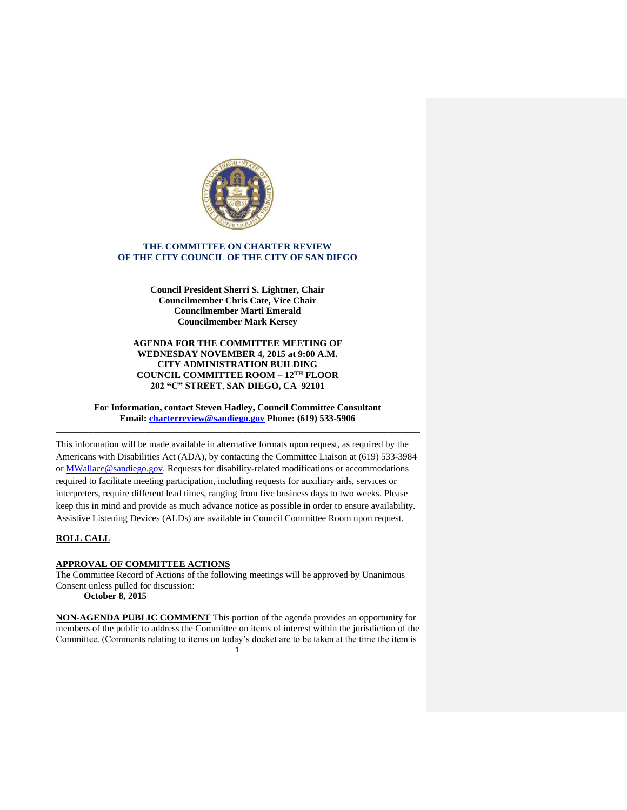

# **THE COMMITTEE ON CHARTER REVIEW OF THE CITY COUNCIL OF THE CITY OF SAN DIEGO**

**Council President Sherri S. Lightner, Chair Councilmember Chris Cate, Vice Chair Councilmember Marti Emerald Councilmember Mark Kersey**

**AGENDA FOR THE COMMITTEE MEETING OF WEDNESDAY NOVEMBER 4, 2015 at 9:00 A.M. CITY ADMINISTRATION BUILDING COUNCIL COMMITTEE ROOM – 12TH FLOOR 202 "C" STREET**, **SAN DIEGO, CA 92101**

**For Information, contact Steven Hadley, Council Committee Consultant Email: [charterreview@sandiego.gov](mailto:charterreview@sandiego.gov) Phone: (619) 533-5906 \_\_\_\_\_\_\_\_\_\_\_\_\_\_\_\_\_\_\_\_\_\_\_\_\_\_\_\_\_\_\_\_\_\_\_\_\_\_\_\_\_\_\_\_\_\_\_\_\_\_\_\_\_\_\_\_\_\_\_\_\_\_\_\_\_\_\_\_\_\_\_\_\_\_\_\_\_\_**

This information will be made available in alternative formats upon request, as required by the Americans with Disabilities Act (ADA), by contacting the Committee Liaison at (619) 533-3984 or MWallace@sandiego.gov. Requests for disability-related modifications or accommodations required to facilitate meeting participation, including requests for auxiliary aids, services or interpreters, require different lead times, ranging from five business days to two weeks. Please keep this in mind and provide as much advance notice as possible in order to ensure availability. Assistive Listening Devices (ALDs) are available in Council Committee Room upon request.

## **ROLL CALL**

## **APPROVAL OF COMMITTEE ACTIONS**

The Committee Record of Actions of the following meetings will be approved by Unanimous Consent unless pulled for discussion:

**October 8, 2015**

1 **NON-AGENDA PUBLIC COMMENT** This portion of the agenda provides an opportunity for members of the public to address the Committee on items of interest within the jurisdiction of the Committee. (Comments relating to items on today's docket are to be taken at the time the item is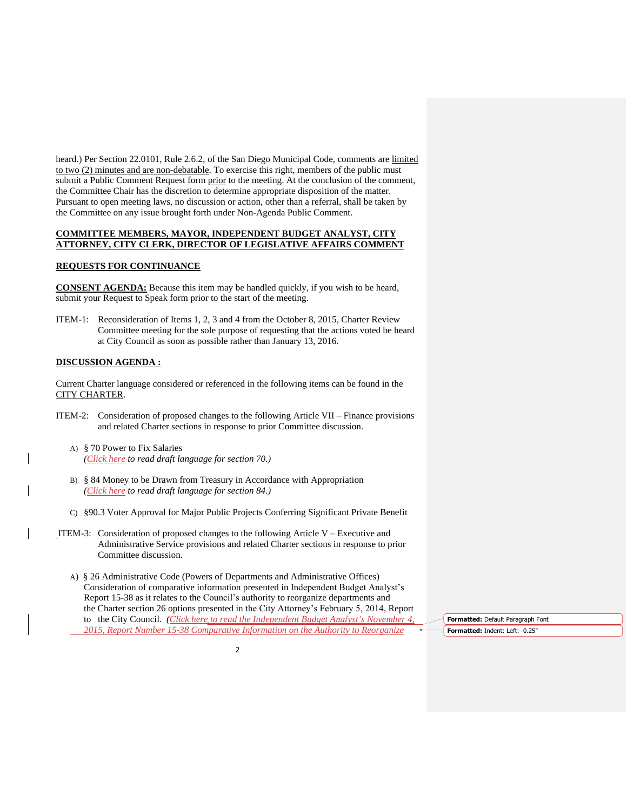heard.) Per Section 22.0101, Rule 2.6.2, of the San Diego Municipal Code, comments are limited to two (2) minutes and are non-debatable. To exercise this right, members of the public must submit a Public Comment Request form prior to the meeting. At the conclusion of the comment, the Committee Chair has the discretion to determine appropriate disposition of the matter. Pursuant to open meeting laws, no discussion or action, other than a referral, shall be taken by the Committee on any issue brought forth under Non-Agenda Public Comment.

## **COMMITTEE MEMBERS, MAYOR, INDEPENDENT BUDGET ANALYST, CITY ATTORNEY, CITY CLERK, DIRECTOR OF LEGISLATIVE AFFAIRS COMMENT**

## **REQUESTS FOR CONTINUANCE**

**CONSENT AGENDA:** Because this item may be handled quickly, if you wish to be heard, submit your Request to Speak form prior to the start of the meeting.

ITEM-1: Reconsideration of Items 1, 2, 3 and 4 from the October 8, 2015, Charter Review Committee meeting for the sole purpose of requesting that the actions voted be heard at City Council as soon as possible rather than January 13, 2016.

## **DISCUSSION AGENDA :**

Current Charter language considered or referenced in the following items can be found in the CITY CHARTER.

- ITEM-2: Consideration of proposed changes to the following Article VII Finance provisions and related Charter sections in response to prior Committee discussion.
	- A) § 70 Power to Fix Salaries *[\(Click here](http://docs.sandiego.gov/councilcomm_agendas_attach/2015/cr_151104_2a.pdf) to read draft language for section 70.)*
	- B) § 84 Money to be Drawn from Treasury in Accordance with Appropriation *[\(Click here](http://docs.sandiego.gov/councilcomm_agendas_attach/2015/cr_151104_2b.pdf) to read draft language for section 84.)*
	- C) §90.3 Voter Approval for Major Public Projects Conferring Significant Private Benefit
- ITEM-3: Consideration of proposed changes to the following Article V Executive and Administrative Service provisions and related Charter sections in response to prior Committee discussion.
	- A) § 26 Administrative Code (Powers of Departments and Administrative Offices) Consideration of comparative information presented in Independent Budget Analyst's Report 15-38 as it relates to the Council's authority to reorganize departments and the Charter section 26 options presented in the City Attorney's February 5, 2014, Report to the City Council. *[\(Click here](http://docs.sandiego.gov/councilcomm_agendas_attach/2015/cr_151104_3a.pdf) to read the Independent Budget Analyst's November 4, 2015, Report Number 15-38 Comparative Information on the Authority to Reorganize*

**Formatted:** Default Paragraph Font **Formatted:** Indent: Left: 0.25"

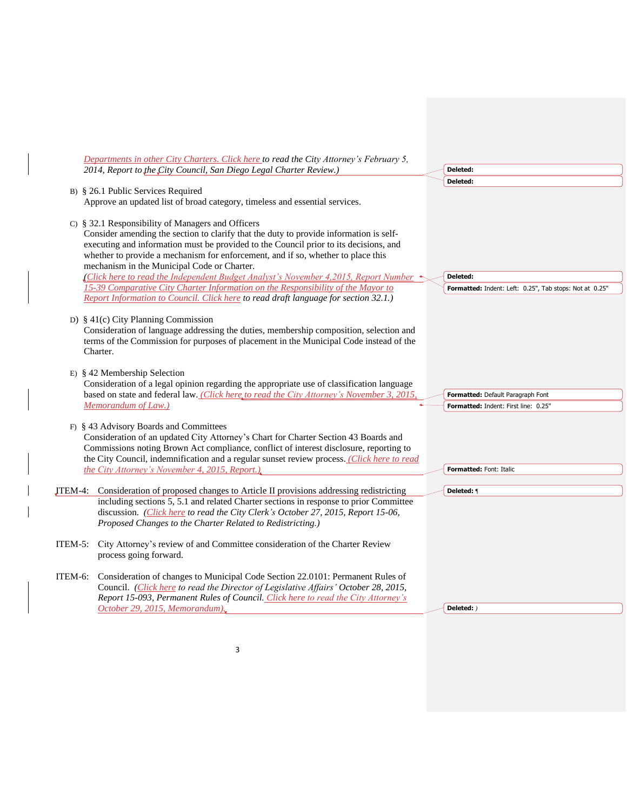|         | Departments in other City Charters. Click here to read the City Attorney's February 5,                                                                                                                                                                                                                                                                                                                                                                                                                                                                                                                                                   |                                                                     |
|---------|------------------------------------------------------------------------------------------------------------------------------------------------------------------------------------------------------------------------------------------------------------------------------------------------------------------------------------------------------------------------------------------------------------------------------------------------------------------------------------------------------------------------------------------------------------------------------------------------------------------------------------------|---------------------------------------------------------------------|
|         | 2014, Report to the City Council, San Diego Legal Charter Review.)                                                                                                                                                                                                                                                                                                                                                                                                                                                                                                                                                                       | Deleted:                                                            |
|         |                                                                                                                                                                                                                                                                                                                                                                                                                                                                                                                                                                                                                                          | Deleted:                                                            |
|         | B) § 26.1 Public Services Required<br>Approve an updated list of broad category, timeless and essential services.                                                                                                                                                                                                                                                                                                                                                                                                                                                                                                                        |                                                                     |
|         | C) § 32.1 Responsibility of Managers and Officers<br>Consider amending the section to clarify that the duty to provide information is self-<br>executing and information must be provided to the Council prior to its decisions, and<br>whether to provide a mechanism for enforcement, and if so, whether to place this<br>mechanism in the Municipal Code or Charter.<br>Click here to read the Independent Budget Analyst's November 4,2015, Report Number<br>15-39 Comparative City Charter Information on the Responsibility of the Mayor to<br>Report Information to Council. Click here to read draft language for section 32.1.) | Deleted:<br>Formatted: Indent: Left: 0.25", Tab stops: Not at 0.25" |
|         | D) § 41(c) City Planning Commission<br>Consideration of language addressing the duties, membership composition, selection and<br>terms of the Commission for purposes of placement in the Municipal Code instead of the<br>Charter.                                                                                                                                                                                                                                                                                                                                                                                                      |                                                                     |
|         | E) § 42 Membership Selection<br>Consideration of a legal opinion regarding the appropriate use of classification language<br>based on state and federal law. (Click here to read the City Attorney's November 3, 2015,                                                                                                                                                                                                                                                                                                                                                                                                                   | Formatted: Default Paragraph Font                                   |
|         | Memorandum of Law.)                                                                                                                                                                                                                                                                                                                                                                                                                                                                                                                                                                                                                      | Formatted: Indent: First line: 0.25"                                |
|         | F) § 43 Advisory Boards and Committees<br>Consideration of an updated City Attorney's Chart for Charter Section 43 Boards and<br>Commissions noting Brown Act compliance, conflict of interest disclosure, reporting to<br>the City Council, indemnification and a regular sunset review process. (Click here to read<br>the City Attorney's November 4, 2015, Report.).                                                                                                                                                                                                                                                                 | <b>Formatted: Font: Italic</b>                                      |
|         |                                                                                                                                                                                                                                                                                                                                                                                                                                                                                                                                                                                                                                          |                                                                     |
|         | <b>ITEM-4:</b> Consideration of proposed changes to Article II provisions addressing redistricting<br>including sections 5, 5.1 and related Charter sections in response to prior Committee<br>discussion. (Click here to read the City Clerk's October 27, 2015, Report 15-06,<br>Proposed Changes to the Charter Related to Redistricting.)                                                                                                                                                                                                                                                                                            | Deleted: ¶                                                          |
| ITEM-5: | City Attorney's review of and Committee consideration of the Charter Review<br>process going forward.                                                                                                                                                                                                                                                                                                                                                                                                                                                                                                                                    |                                                                     |
| ITEM-6: | Consideration of changes to Municipal Code Section 22.0101: Permanent Rules of<br>Council. (Click here to read the Director of Legislative Affairs' October 28, 2015,<br>Report 15-093, Permanent Rules of Council. Click here to read the City Attorney's<br>October 29, 2015, Memorandum).                                                                                                                                                                                                                                                                                                                                             | Deleted: )                                                          |

3